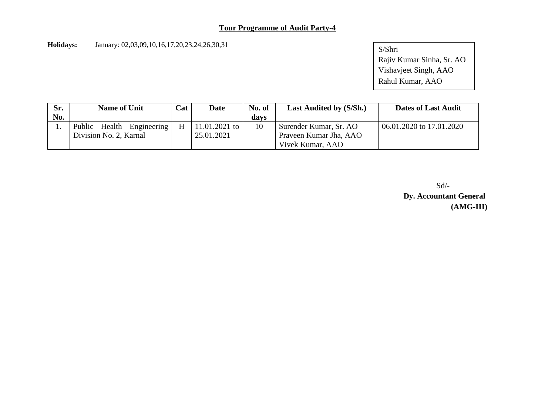**Holidays:** January: 02,03,09,10,16,17,20,23,24,26,30,31

S/Shri Rajiv Kumar Sinha, Sr. AO Vishavjeet Singh, AAO Rahul Kumar, AAO

| Sr. | <b>Name of Unit</b>       |   | Date          | No. of | <b>Last Audited by (S/Sh.)</b> | <b>Dates of Last Audit</b> |
|-----|---------------------------|---|---------------|--------|--------------------------------|----------------------------|
| No. |                           |   |               | davs   |                                |                            |
|     | Public Health Engineering | H | 11.01.2021 to | 10     | Surender Kumar, Sr. AO         | 06.01.2020 to 17.01.2020   |
|     | Division No. 2, Karnal    |   | 25.01.2021    |        | Praveen Kumar Jha, AAO         |                            |
|     |                           |   |               |        | Vivek Kumar, AAO               |                            |

Sd/-

**Dy. Accountant General (AMG-III)**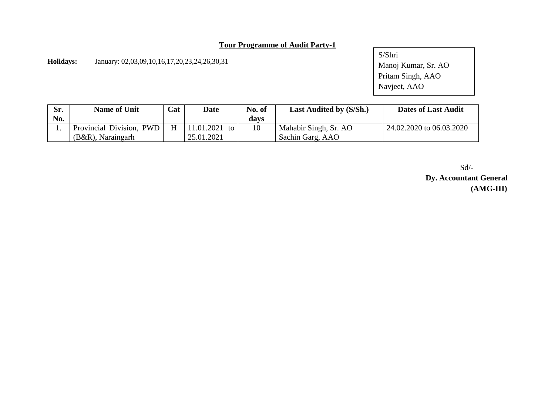**Holidays:** January: 02,03,09,10,16,17,20,23,24,26,30,31

S/Shri Manoj Kumar, Sr. AO Pritam Singh, AAO Navjeet, AAO

| Sr.<br>No. | <b>Name of Unit</b>                              | Cat | <b>Date</b>                 | No. of<br>davs | Last Audited by (S/Sh.)                   | <b>Dates of Last Audit</b> |
|------------|--------------------------------------------------|-----|-----------------------------|----------------|-------------------------------------------|----------------------------|
|            | Provincial Division, PWD<br>$(B&R)$ , Naraingarh | H   | 11.01.2021 to<br>25.01.2021 | 10             | Mahabir Singh, Sr. AO<br>Sachin Garg, AAO | 24.02.2020 to 06.03.2020   |

Sd/- **Dy. Accountant General (AMG-III)**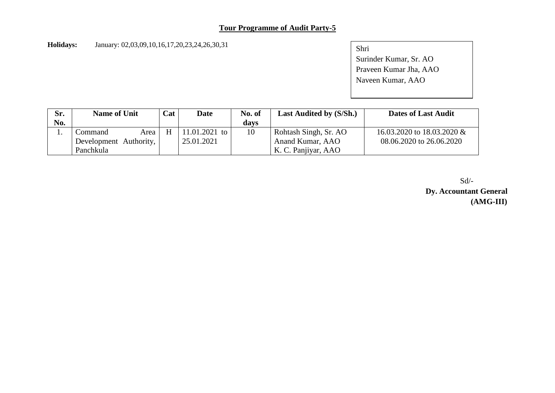**Holidays:** January: 02,03,09,10,16,17,20,23,24,26,30,31

Shri Surinder Kumar, Sr. AO Praveen Kumar Jha, AAO Naveen Kumar, AAO

| Sr. | Cat<br><b>Name of Unit</b> |   | Date          | No. of | <b>Last Audited by (S/Sh.)</b> | <b>Dates of Last Audit</b>   |
|-----|----------------------------|---|---------------|--------|--------------------------------|------------------------------|
| No. |                            |   |               | davs   |                                |                              |
|     | Command<br>Area            | H | 11.01.2021 to | 10     | Rohtash Singh, Sr. AO          | 16.03.2020 to 18.03.2020 $&$ |
|     | Development Authority,     |   | 25.01.2021    |        | Anand Kumar, AAO               | 08.06.2020 to 26.06.2020     |
|     | Panchkula                  |   |               |        | K. C. Panjiyar, AAO            |                              |

Sd/- **Dy. Accountant General (AMG-III)**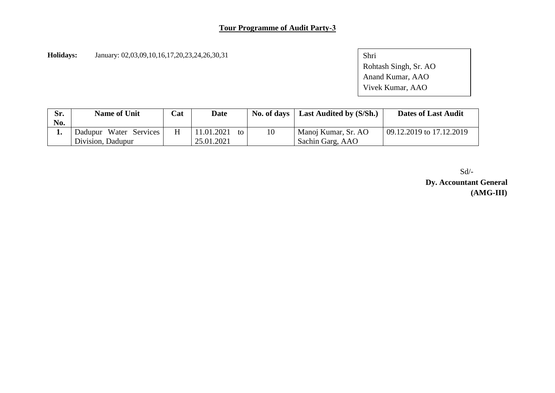**Holidays:** January: 02,03,09,10,16,17,20,23,24,26,30,31

Shri Rohtash Singh, Sr. AO Anand Kumar, AAO Vivek Kumar, AAO

| Sr.<br>No. | <b>Name of Unit</b>                         | Cat | <b>Date</b>                    | No. of days | <b>Last Audited by (S/Sh.)</b>          | <b>Dates of Last Audit</b> |
|------------|---------------------------------------------|-----|--------------------------------|-------------|-----------------------------------------|----------------------------|
|            | Dadupur Water Services<br>Division, Dadupur |     | 11.01.2021<br>to<br>25.01.2021 | 10          | Manoj Kumar, Sr. AO<br>Sachin Garg, AAO | 09.12.2019 to 17.12.2019   |

Sd/- **Dy. Accountant General (AMG-III)**